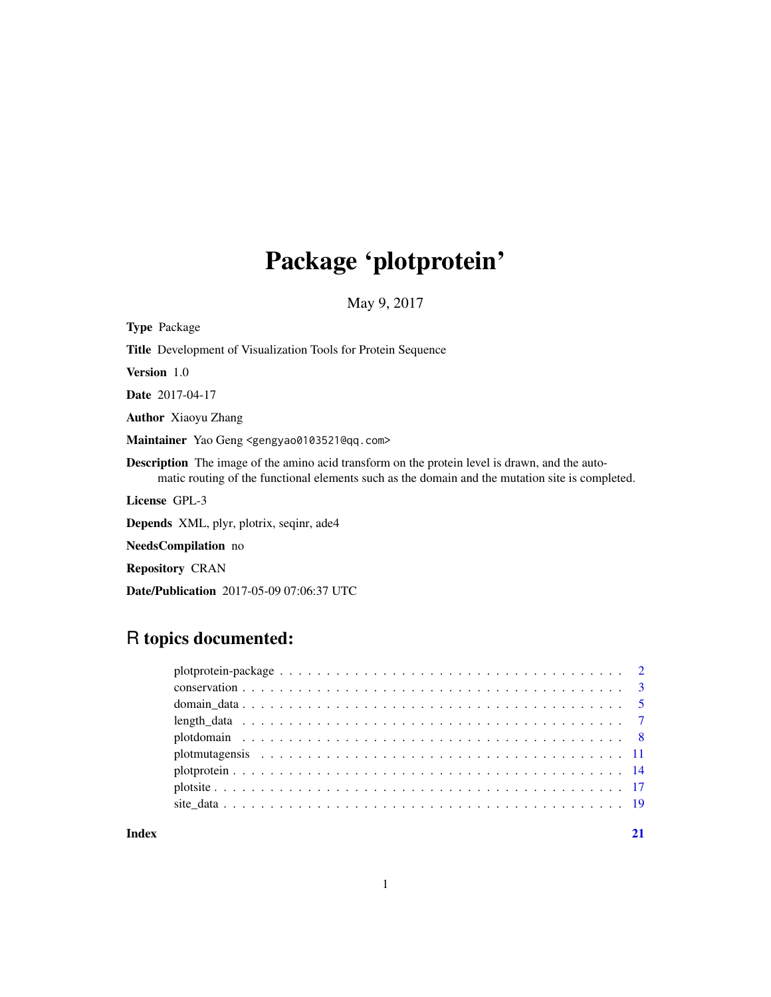# Package 'plotprotein'

May 9, 2017

<span id="page-0-0"></span>

| <b>Type Package</b>                                                                                                                                                                                      |
|----------------------------------------------------------------------------------------------------------------------------------------------------------------------------------------------------------|
| <b>Title</b> Development of Visualization Tools for Protein Sequence                                                                                                                                     |
| <b>Version</b> 1.0                                                                                                                                                                                       |
| <b>Date</b> 2017-04-17                                                                                                                                                                                   |
| <b>Author</b> Xiaoyu Zhang                                                                                                                                                                               |
| Maintainer Yao Geng <gengyao0103521@qq.com></gengyao0103521@qq.com>                                                                                                                                      |
| <b>Description</b> The image of the amino acid transform on the protein level is drawn, and the auto-<br>matic routing of the functional elements such as the domain and the mutation site is completed. |
| License GPL-3                                                                                                                                                                                            |
| <b>Depends</b> XML, plyr, plotrix, seginr, ade4                                                                                                                                                          |
| <b>NeedsCompilation</b> no                                                                                                                                                                               |
| <b>Repository CRAN</b>                                                                                                                                                                                   |

Date/Publication 2017-05-09 07:06:37 UTC

## R topics documented:

## **Index** [21](#page-20-0)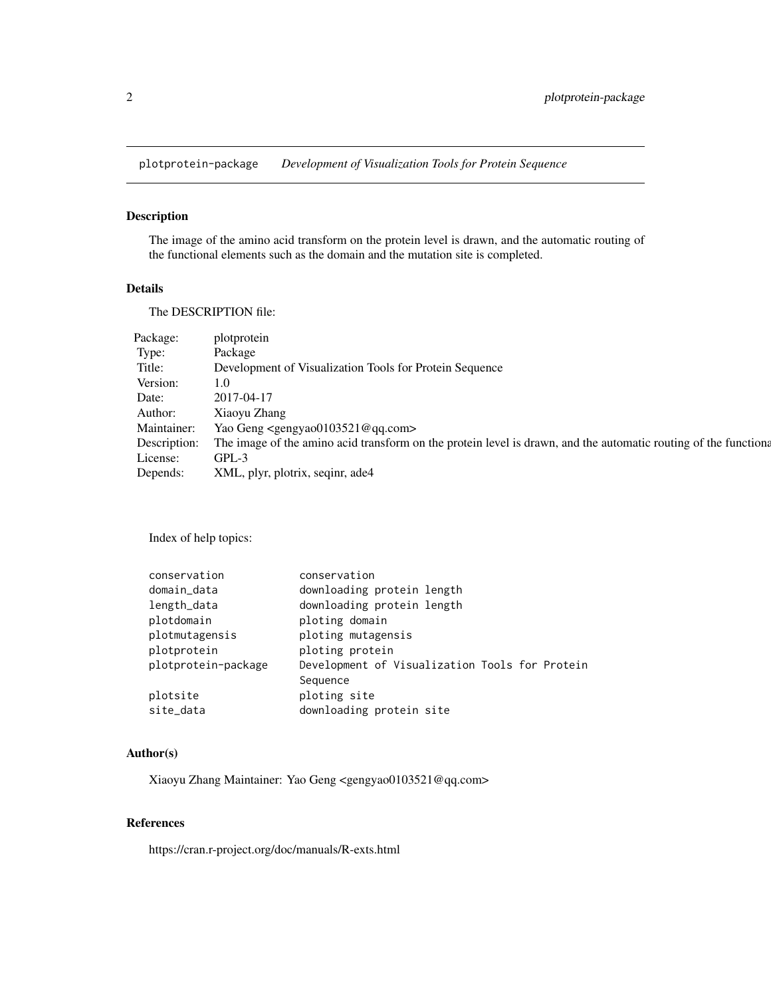<span id="page-1-0"></span>plotprotein-package *Development of Visualization Tools for Protein Sequence*

## Description

The image of the amino acid transform on the protein level is drawn, and the automatic routing of the functional elements such as the domain and the mutation site is completed.

## Details

The DESCRIPTION file:

| Package:     | plotprotein                                                                                                      |
|--------------|------------------------------------------------------------------------------------------------------------------|
| Type:        | Package                                                                                                          |
| Title:       | Development of Visualization Tools for Protein Sequence                                                          |
| Version:     | 1.0                                                                                                              |
| Date:        | 2017-04-17                                                                                                       |
| Author:      | Xiaoyu Zhang                                                                                                     |
| Maintainer:  | Yao Geng <gengyao0103521@qq.com></gengyao0103521@qq.com>                                                         |
| Description: | The image of the amino acid transform on the protein level is drawn, and the automatic routing of the functional |
| License:     | $GPL-3$                                                                                                          |
| Depends:     | XML, plyr, plotrix, seqinr, ade4                                                                                 |

Index of help topics:

| conservation          | conservation                                               |
|-----------------------|------------------------------------------------------------|
| domain_data           | downloading protein length                                 |
| length_data           | downloading protein length                                 |
| plotdomain            | ploting domain                                             |
| plotmutagensis        | ploting mutagensis                                         |
| plotprotein           | ploting protein                                            |
| plotprotein-package   | Development of Visualization Tools for Protein<br>Sequence |
| plotsite<br>site_data | ploting site<br>downloading protein site                   |

## Author(s)

Xiaoyu Zhang Maintainer: Yao Geng <gengyao0103521@qq.com>

## References

https://cran.r-project.org/doc/manuals/R-exts.html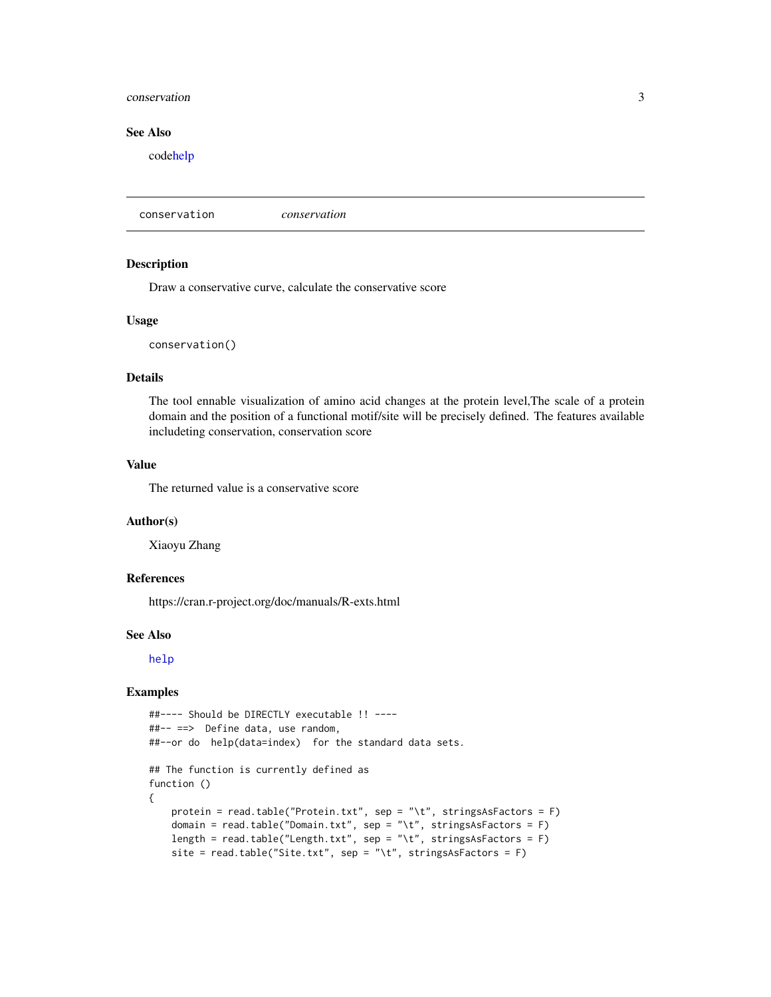#### <span id="page-2-0"></span>conservation 3

## See Also

cod[ehelp](#page-0-0)

conservation *conservation*

## Description

Draw a conservative curve, calculate the conservative score

#### Usage

conservation()

## Details

The tool ennable visualization of amino acid changes at the protein level,The scale of a protein domain and the position of a functional motif/site will be precisely defined. The features available includeting conservation, conservation score

## Value

The returned value is a conservative score

#### Author(s)

Xiaoyu Zhang

## References

https://cran.r-project.org/doc/manuals/R-exts.html

#### See Also

[help](#page-0-0)

```
##---- Should be DIRECTLY executable !! ----
##-- ==> Define data, use random,
##--or do help(data=index) for the standard data sets.
## The function is currently defined as
function ()
{
   protein = read.table("Protein.txt", sep = "\t", stringsAsFactors = F)
   domain = read.table("Domain.txt", sep = "\t", stringsAsFactors = F)
   length = read.table("Length.txt", sep = "\t", stringsAsFactors = F)
   site = read.table("Site.txt", sep = "\t", stringsAsFactors = F)
```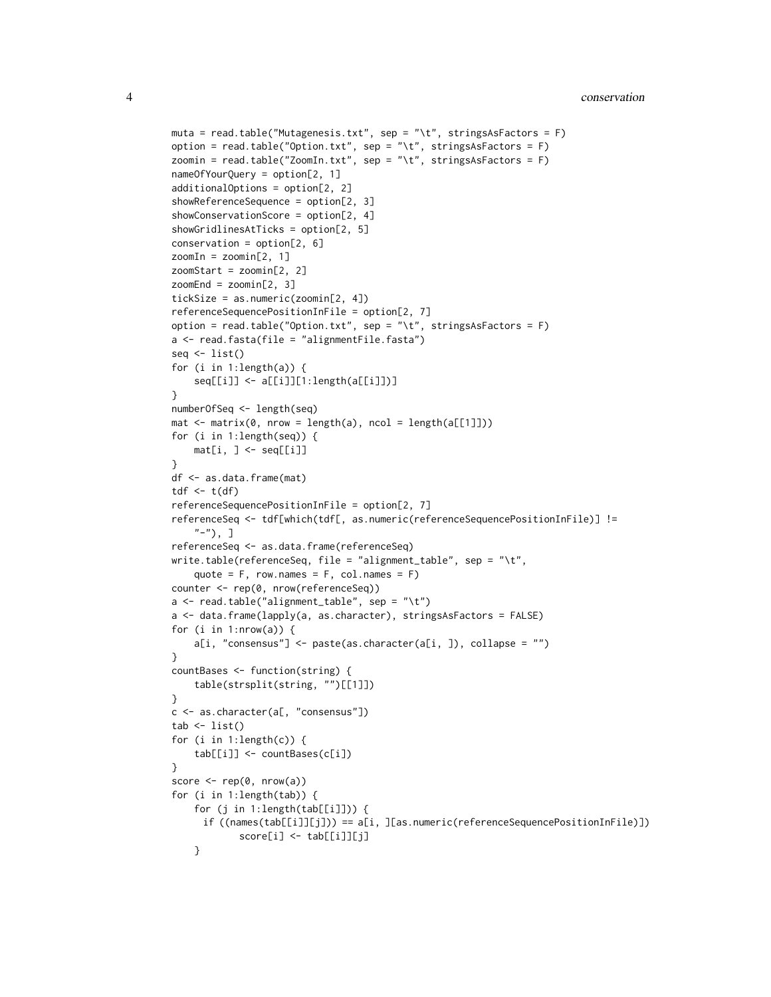```
muta = read.table("Mutagenesis.txt", sep = "\t", stringsAsFactors = F)
option = read.table("Option.txt", sep = "\t", stringsAsFactors = F)
zoomin = read.table("ZoomIn.txt", sep = "\t", stringsAsFactors = F)
nameOfYourQuery = option[2, 1]
additionalOptions = option[2, 2]
showReferenceSequence = option[2, 3]
showConservationScore = option[2, 4]
showGridlinesAtTicks = option[2, 5]
conservation = option[2, 6]zoomIn = zoomin[2, 1]
zoomStart = zoomin[2, 2]
zoomEnd = zoomin[2, 3]tickSize = as.numeric(zoomin[2, 4])
referenceSequencePositionInFile = option[2, 7]
option = read.table("Option.txt", sep = "\t", stringsAsFactors = F)
a <- read.fasta(file = "alignmentFile.fasta")
seq <- list()
for (i in 1:length(a)) {
    seq[[i]] <- a[[i]][1:length(a[[i]])]
}
numberOfSeq <- length(seq)
mat < -matrix(0, new = length(a), ncol = length(a[[1]]))for (i in 1:length(seq)) {
   mat[i, ] < - seq[[i]]}
df <- as.data.frame(mat)
tdf \leftarrow t(df)referenceSequencePositionInFile = option[2, 7]
referenceSeq <- tdf[which(tdf[, as.numeric(referenceSequencePositionInFile)] !=
    "-"), ]
referenceSeq <- as.data.frame(referenceSeq)
write.table(referenceSeq, file = "alignment_table", sep = "\t",
    quote = F, row.names = F, col.names = F)
counter <- rep(0, nrow(referenceSeq))
a <- read.table("alignment_table", sep = "\t")
a <- data.frame(lapply(a, as.character), stringsAsFactors = FALSE)
for (i in 1:nrow(a)) {
    a[i, "consensus"] \leftarrow paste(as.charAtacter(a[i, ]), collapse = "")}
countBases <- function(string) {
    table(strsplit(string, "")[[1]])
}
c <- as.character(a[, "consensus"])
tab \leftarrow list()for (i in 1:length(c)) {
    tab[[i]] <- countBases(c[i])
}
score \leq rep(0, nrow(a))
for (i in 1:length(tab)) {
    for (j in 1:length(tab[[i]])) {
     if ((names(tab[[i]][j])) == a[i, ][as.numeric(referenceSequencePositionInFile)])
            score[i] <- tab[[i]][j]
    }
```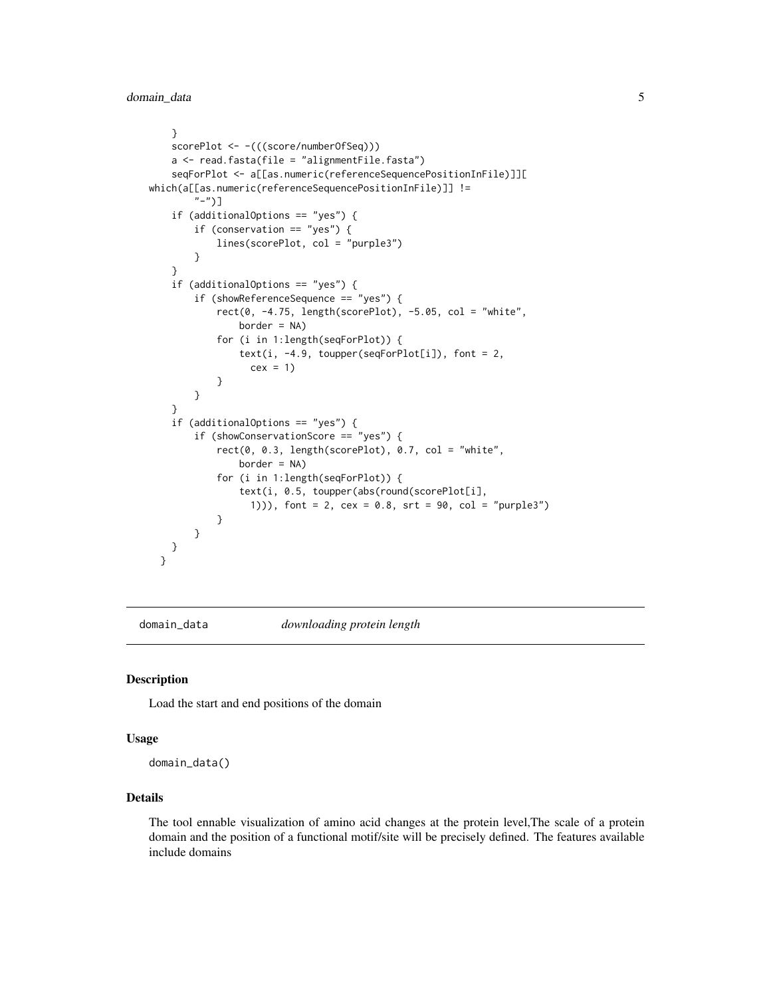```
}
    scorePlot <- -(((score/numberOfSeq)))
    a <- read.fasta(file = "alignmentFile.fasta")
    seqForPlot <- a[[as.numeric(referenceSequencePositionInFile)]][
which(a[[as.numeric(referenceSequencePositionInFile)]] !=
        "-")]
    if (additionalOptions == "yes") {
       if (conservation == "yes") {
            lines(scorePlot, col = "purple3")
       }
    }
    if (additionalOptions == "yes") {
        if (showReferenceSequence == "yes") {
            rect(0, -4.75, length(scorePlot), -5.05, col = "white",border = NA)for (i in 1:length(seqForPlot)) {
                text(i, -4.9, \ntoupper(seqForPlot[i]), font = 2,cex = 1}
       }
   }
    if (additionalOptions == "yes") {
       if (showConservationScore == "yes") {
            rect(0, 0.3, length(scorePlot), 0.7, col = "white",border = NA)for (i in 1:length(seqForPlot)) {
                text(i, 0.5, toupper(abs(round(scorePlot[i],
                  1))), font = 2, cex = 0.8, srt = 90, col = "purple3")
            }
       }
   }
 }
```
domain\_data *downloading protein length*

## Description

Load the start and end positions of the domain

#### Usage

domain\_data()

### Details

The tool ennable visualization of amino acid changes at the protein level,The scale of a protein domain and the position of a functional motif/site will be precisely defined. The features available include domains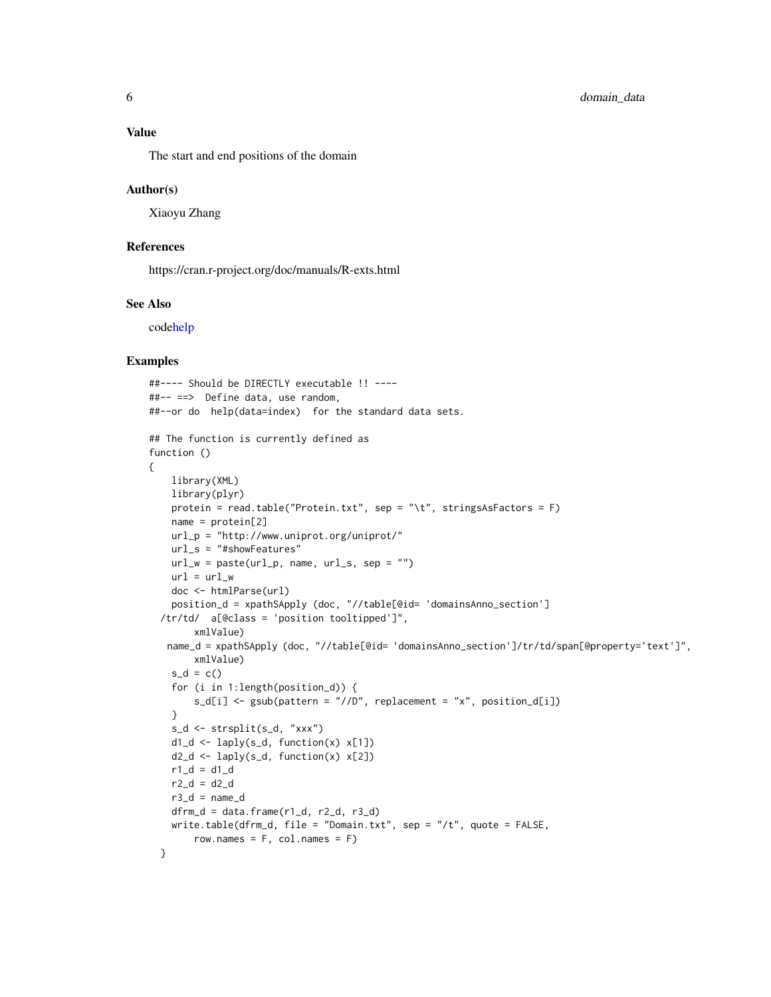## <span id="page-5-0"></span>Value

The start and end positions of the domain

#### Author(s)

Xiaoyu Zhang

## References

https://cran.r-project.org/doc/manuals/R-exts.html

## See Also

cod[ehelp](#page-0-0)

```
##---- Should be DIRECTLY executable !! ----
##-- ==> Define data, use random,
##--or do help(data=index) for the standard data sets.
## The function is currently defined as
function ()
{
   library(XML)
   library(plyr)
   protein = read.table("Protein.txt", sep = "\t", stringsAsFactors = F)
   name = protein[2]
   url_p = "http://www.uniprot.org/uniprot/"
   url_s = "#showFeatures"
   url_w = paste(url_p, name, url_s, sep = "")url = url_wdoc <- htmlParse(url)
    position_d = xpathSApply (doc, "//table[@id= 'domainsAnno_section']
  /tr/td/ a[@class = 'position tooltipped']",
        xmlValue)
   name_d = xpathSApply (doc, "//table[@id= 'domainsAnno_section']/tr/td/span[@property='text']",
       xmlValue)
    s_d = c()for (i in 1:length(position_d)) {
        s_d[i] <- gsub(pattern = "//D", replacement = "x", position_d[i])
    }
    s_d <- strsplit(s_d, "xxx")
    d1_d \leftarrow \text{laply}(s_d, function(x) \times [1])d2_d \leftarrow \text{laply}(s_d, function(x) \times [2])r1_d = d1_dr2_d = d2_dr3_d = name_ddfrm_d = data.frame(r1_d, r2_d, r3_d)write.table(dfrm_d, file = "Domain.txt", sep = "/t", quote = FALSE,
        row.names = F, col.names = F)
 }
```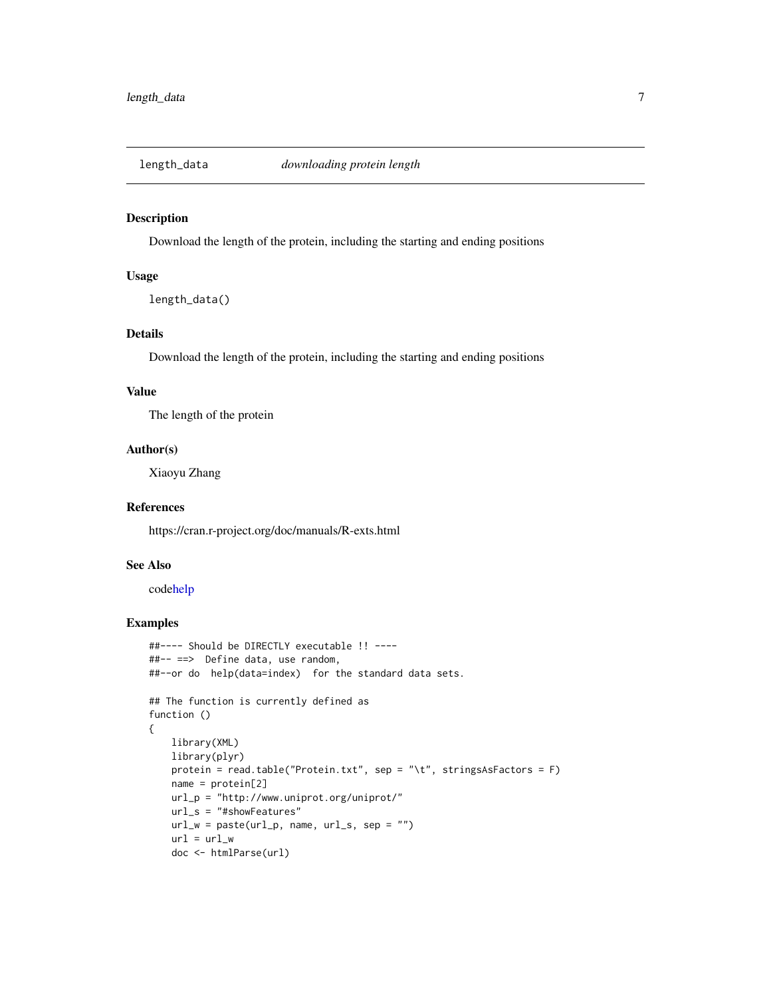<span id="page-6-0"></span>

## Description

Download the length of the protein, including the starting and ending positions

## Usage

```
length_data()
```
## Details

Download the length of the protein, including the starting and ending positions

#### Value

The length of the protein

## Author(s)

Xiaoyu Zhang

#### References

https://cran.r-project.org/doc/manuals/R-exts.html

## See Also

cod[ehelp](#page-0-0)

```
##---- Should be DIRECTLY executable !! ----
##-- ==> Define data, use random,
##--or do help(data=index) for the standard data sets.
## The function is currently defined as
function ()
{
   library(XML)
   library(plyr)
   protein = read.table("Protein.txt", sep = "\t", stringsAsFactors = F)
   name = protein[2]
   url_p = "http://www.uniprot.org/uniprot/"
   url_s = "#showFeatures"
   url_w = paste(url_p, name, url_s, sep = "")url = url_wdoc <- htmlParse(url)
```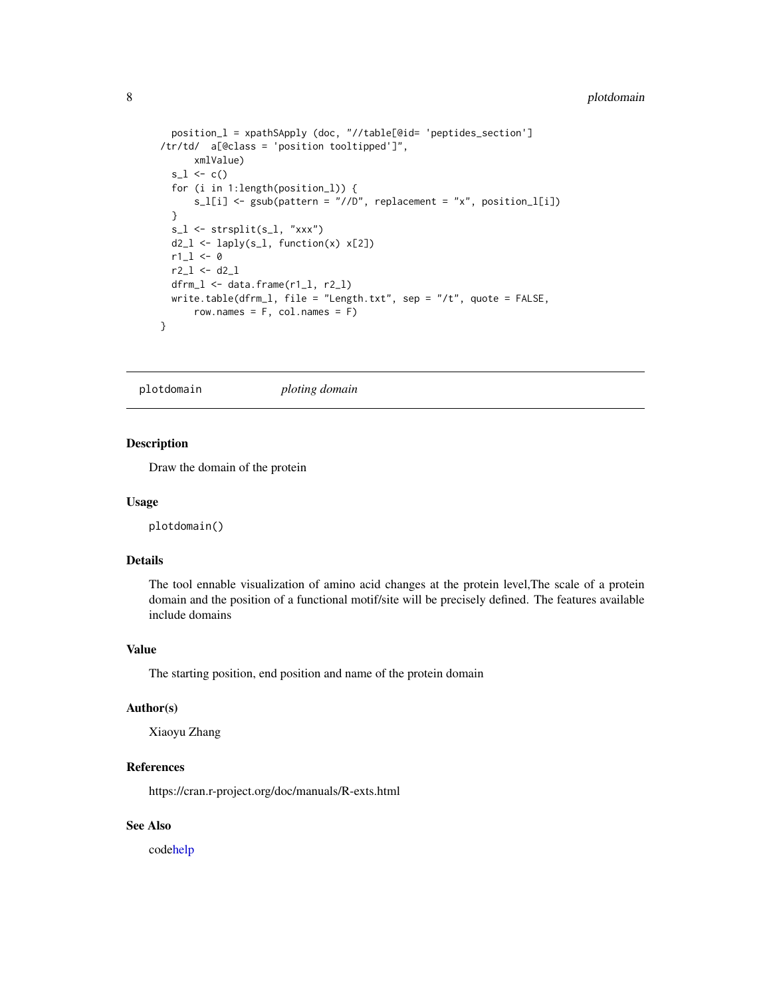```
position_l = xpathSApply (doc, "//table[@id= 'peptides_section']
/tr/td/ a[@class = 'position tooltipped']",
      xmlValue)
  s_l < -c()for (i in 1:length(position_l)) {
     s_l[i] <- gsub(pattern = "//D", replacement = "x", position_1[i])
  }
  s_l < - strsplit(s_l, "xxx")
 d2_l \leftarrow \text{laply}(s_l, function(x) \times [2])r1_l < -0r2_1 < -d2_1dfrm_l <- data.frame(r1_l, r2_l)
 write.table(dfrm_l, file = "Length.txt", sep = "/t", quote = FALSE,
      row.names = F, col.names = F)
}
```
plotdomain *ploting domain*

## Description

Draw the domain of the protein

#### Usage

plotdomain()

## Details

The tool ennable visualization of amino acid changes at the protein level,The scale of a protein domain and the position of a functional motif/site will be precisely defined. The features available include domains

## Value

The starting position, end position and name of the protein domain

#### Author(s)

Xiaoyu Zhang

#### References

https://cran.r-project.org/doc/manuals/R-exts.html

## See Also

cod[ehelp](#page-0-0)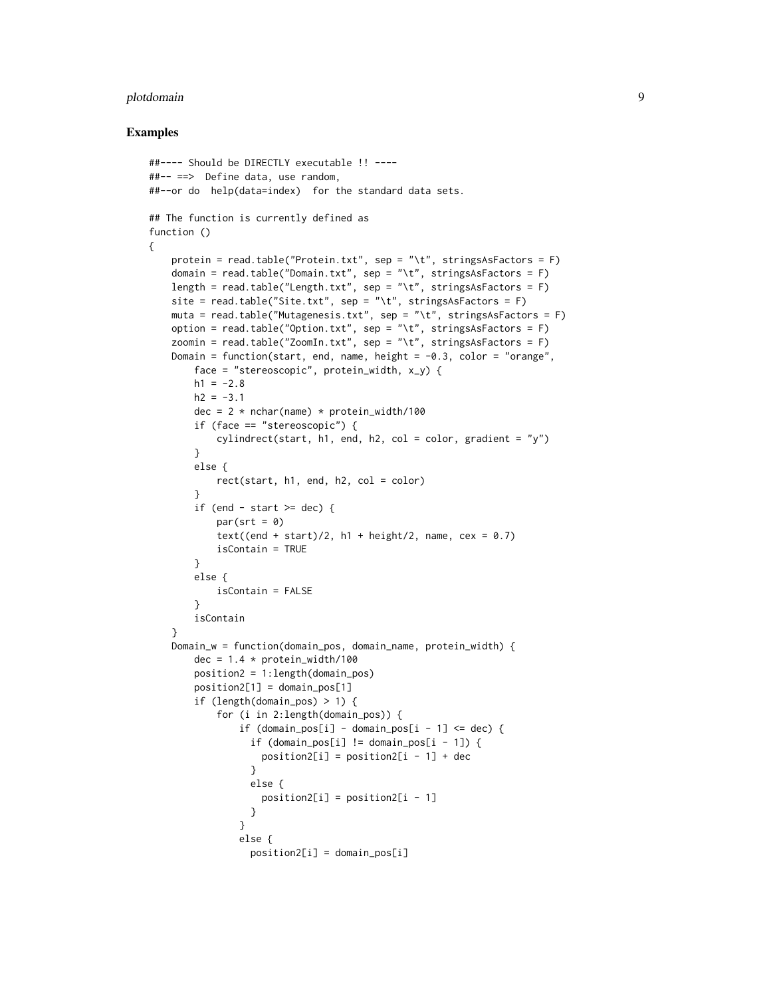#### plotdomain 9

```
##---- Should be DIRECTLY executable !! ----
##-- ==> Define data, use random,
##--or do help(data=index) for the standard data sets.
## The function is currently defined as
function ()
{
   protein = read.table("Protein.txt", sep = "\t", stringsAsFactors = F)
   domain = read.table("Domain.txt", sep = "\t", stringsAsFactors = F)
   length = read.table("Length.txt", sep = "\t", stringsAsFactors = F)
   site = read.table("Site.txt", sep = "\t", stringsAsFactors = F)
   muta = read.table("Mutagenesis.txt", sep = "\t", stringsAsFactors = F)
   option = read.table("Option.txt", sep = "\t", stringsAsFactors = F)
   zoomin = read.table("ZoomIn.txt", sep = "\t", stringsAsFactors = F)
   Domain = function(start, end, name, height = -0.3, color = "orange",
       face = "stereoscopic", protein_width, x_y) {
       h1 = -2.8h2 = -3.1dec = 2 * nchar(name) * protein_width/100if (face == "stereoscopic") {
           cylinder(stat, h1, end, h2, col = color, gradient = "y")}
       else {
           rect(start, h1, end, h2, col = color)
        }
       if (end - start >= dec) {
           par(srt = 0)text((end + start)/2, h1 + height/2, name, cex = 0.7)
           isContain = TRUE
       }
       else {
           isContain = FALSE
        }
       isContain
    }
    Domain_w = function(domain_pos, domain_name, protein_width) {
       dec = 1.4 * protein_width/100position2 = 1:length(domain_pos)
       position2[1] = domain\_pos[1]if (length(domain_pos) > 1) {
           for (i in 2:length(domain_pos)) {
                if (domain\_pos[i] - domain\_pos[i - 1] \leq dec)if (domain_pos[i] != domain_pos[i - 1])position2[i] = position2[i - 1] + dec}
                 else {
                   position2[i] = position2[i - 1]}
                }
               else {
                 position2[i] = domain\_pos[i]
```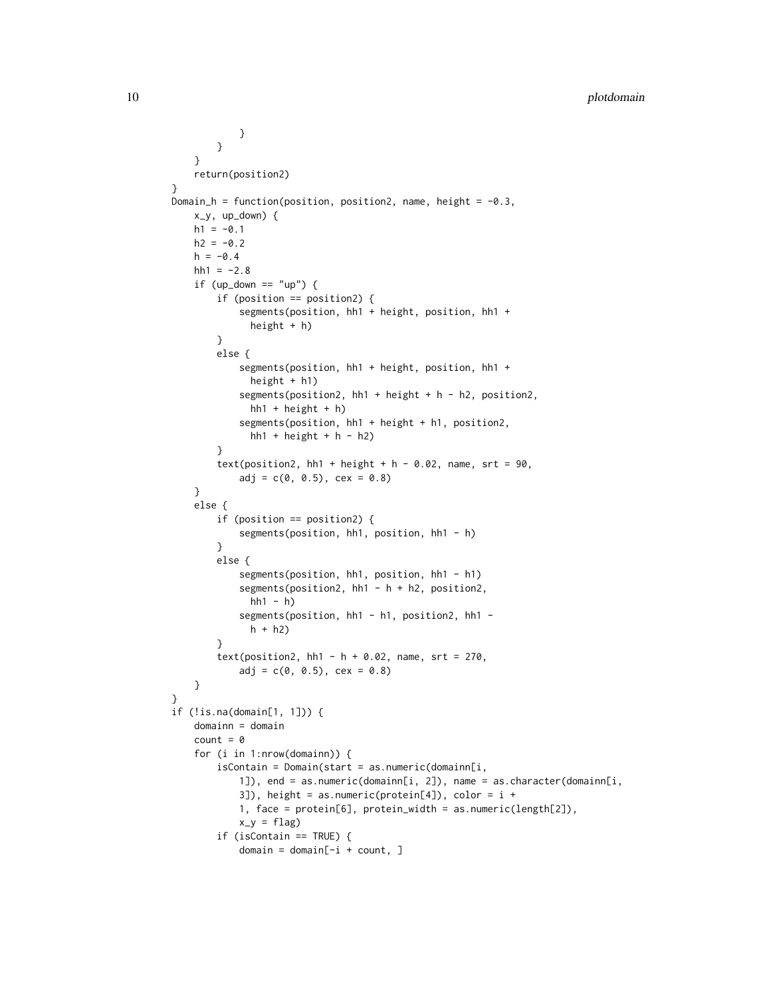```
}
        }
    }
    return(position2)
}
Domain_h = function(position, position2, name, height = -0.3,
   x_y, up_down) {
    h1 = -0.1h2 = -0.2h = -0.4hh1 = -2.8if (up\_down == "up") {
        if (position == position2) {
            segments(position, hh1 + height, position, hh1 +
              height + h)
        }
        else {
            segments(position, hh1 + height, position, hh1 +
              height + h1)
            segments(position2, hh1 + height + h - h2, position2,
              hh1 + height + h)segments(position, hh1 + height + h1, position2,
              hh1 + height + h - h2)}
        text(position2, hh1 + height + h - 0.02, name, srt = 90,
            adj = c(0, 0.5), cex = 0.8)}
    else {
        if (position == position2) {
            segments(position, hh1, position, hh1 - h)
        }
        else {
            segments(position, hh1, position, hh1 - h1)
            segments(position2, hh1 - h + h2, position2,
              hh1 - h)segments(position, hh1 - h1, position2, hh1 -
              h + h2}
        text(position2, hh1 - h + 0.02, name, srt = 270,
            adj = c(0, 0.5), cex = 0.8)}
}
if (!is.na(domain[1, 1])) {
    domainn = domain
    count = 0for (i in 1:nrow(domainn)) {
        isContainer = Domain(start = as.numeric(doublemain[i],1]), end = as.numeric(domainn[i, 2]), name = as.character(domainn[i,
            3]), height = as.numeric(protein[4]), color = i +1, face = protein[6], protein_width = as.numeric(length[2]),
            x_y = flagif (isContain == TRUE) {
            domain = domain[-i + count, ]
```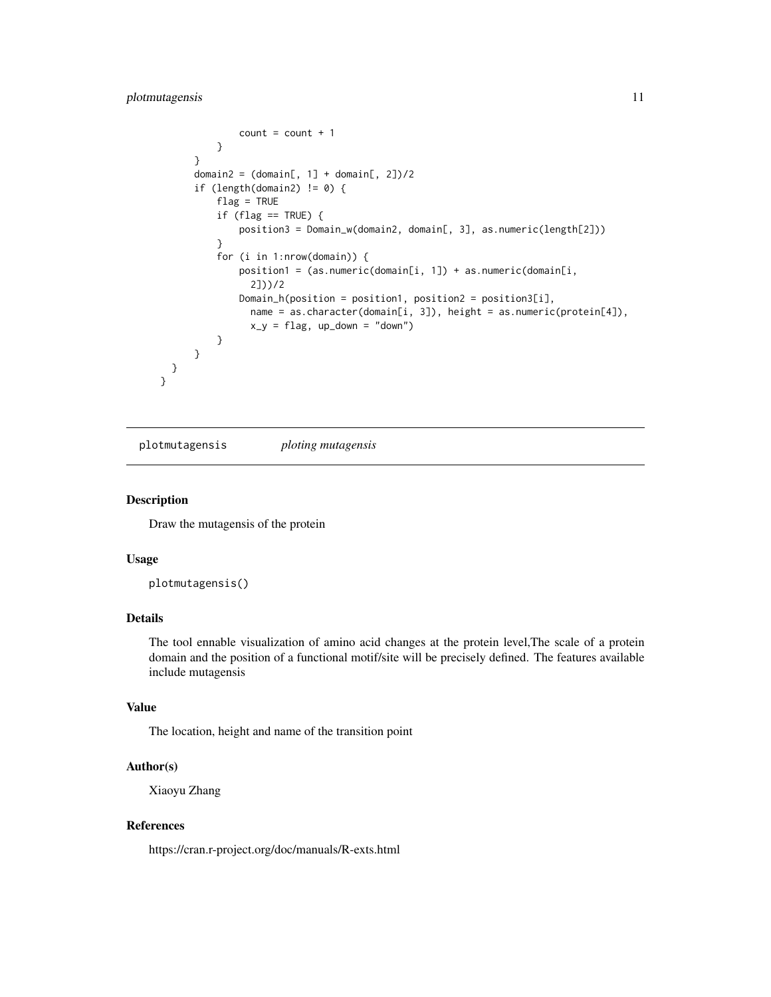## <span id="page-10-0"></span>plotmutagensis 11

```
count = count + 1}
      }
      domain2 = (domain[, 1] + domain[, 2]/2if (length(domain2) != 0) {
          flag = TRUE
          if (flag == TRUE) {
              position3 = Domain_w(domain2, domain[, 3], as.numeric(length[2]))
          }
          for (i in 1:nrow(domain)) {
              position1 = (as.numeric(domain[i, 1]) + as.numeric(domain[i,
                2]))/2
              Domain_h(position = position1, position2 = position3[i],
                name = as.character(domain[i, 3]), height = as.numeric(protein[4]),
                x_y = flag, up_down = "down")
          }
     }
 }
}
```
plotmutagensis *ploting mutagensis*

## Description

Draw the mutagensis of the protein

## Usage

plotmutagensis()

## Details

The tool ennable visualization of amino acid changes at the protein level,The scale of a protein domain and the position of a functional motif/site will be precisely defined. The features available include mutagensis

#### Value

The location, height and name of the transition point

#### Author(s)

Xiaoyu Zhang

## References

https://cran.r-project.org/doc/manuals/R-exts.html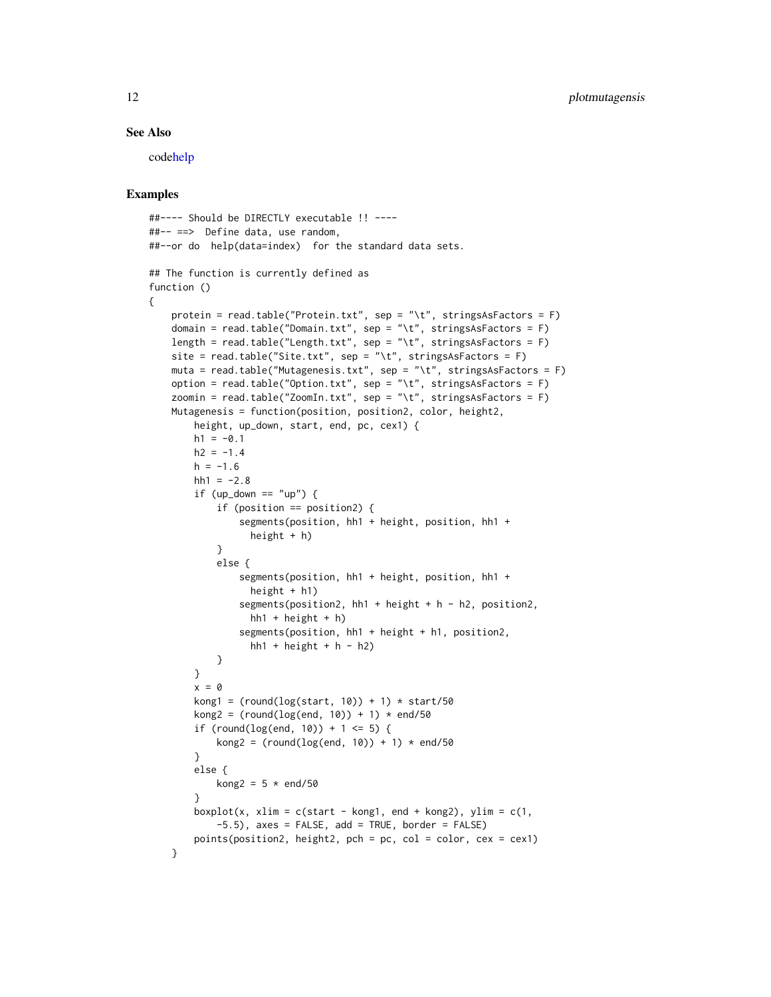## <span id="page-11-0"></span>See Also

cod[ehelp](#page-0-0)

## Examples

{

```
##---- Should be DIRECTLY executable !! ----
##-- ==> Define data, use random,
##--or do help(data=index) for the standard data sets.
## The function is currently defined as
function ()
   protein = read.table("Protein.txt", sep = "\t", stringsAsFactors = F)
   domain = read.table("Domain.txt", sep = "\t", stringsAsFactors = F)
   length = read.table("Length.txt", sep = "\t", stringsAsFactors = F)
   site = read.table("Site.txt", sep = "\t", stringsAsFactors = F)
   muta = read.table("Mutagenesis.txt", sep = "\t", stringsAsFactors = F)
   option = read.table("Option.txt", sep = "\t", stringsAsFactors = F)
   zoomin = read.table("ZoomIn.txt", sep = "\t", stringsAsFactors = F)
   Mutagenesis = function(position, position2, color, height2,
       height, up_down, start, end, pc, cex1) {
       h1 = -0.1h2 = -1.4h = -1.6hh1 = -2.8if (up_down == "up") {
            if (position == position2) {
                segments(position, hh1 + height, position, hh1 +
                  height + h)
            }
            else {
                segments(position, hh1 + height, position, hh1 +
                  height + h1)
                segments(position2, hh1 + height + h - h2, position2,
                  hh1 + height + h)segments(position, hh1 + height + h1, position2,
                  hh1 + \text{height} + \text{h} - \text{h}}
       }
       x = 0kong1 = (round(log(start, 10)) + 1) * start/50kong2 = (round(logend, 10)) + 1) * end/50if (round(log(end, 10)) + 1 <= 5) {
            kong2 = (round(logend, 10)) + 1) * end/50}
       else {
            kong2 = 5 * end/50}
       boxplot(x, xlim = c(start - kong1, end + kong2), ylim = c(1,-5.5), axes = FALSE, add = TRUE, border = FALSE)
       points(position2, height2, pch = pc, col = color, cex = cex1)
    }
```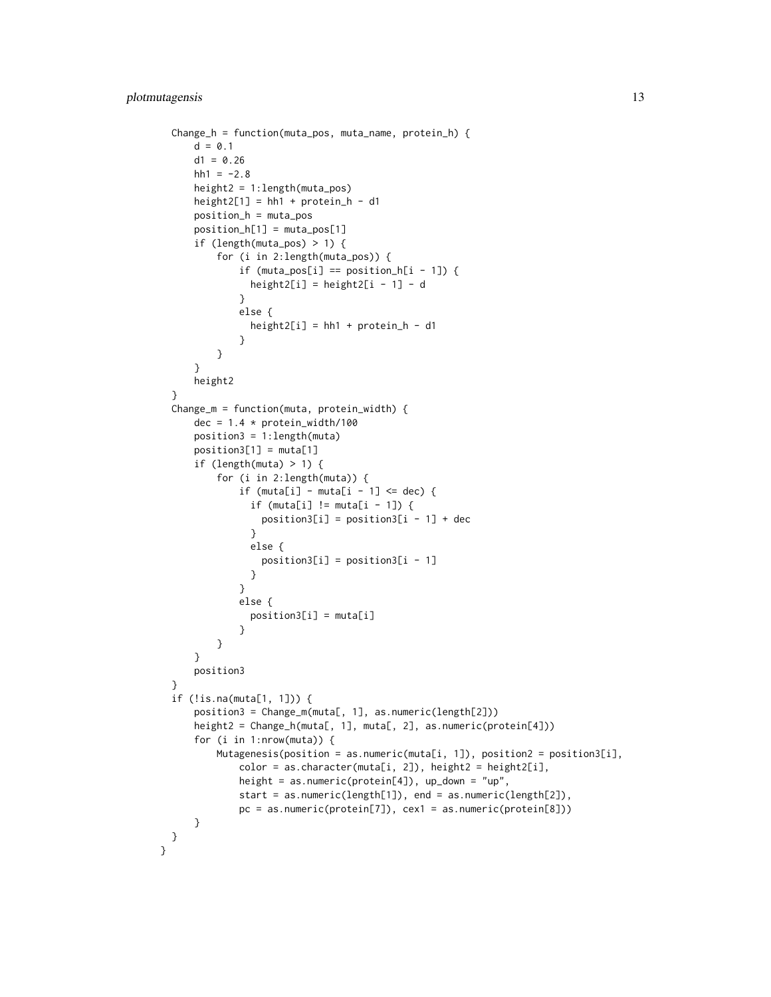```
Change_h = function(muta_pos, muta_name, protein_h) {
      d = 0.1d1 = 0.26hh1 = -2.8height2 = 1:length(muta_pos)
      height2[1] = hh1 + protein_h - d1position_h = muta_pos
      position_h[1] = muta_pos[1]
      if (length(muta_pos) > 1) {
          for (i in 2:length(muta_pos)) {
              if (muta_pos[i] == position_h[i - 1]) {
                height2[i] = height2[i - 1] - d
              }
              else {
                height2[i] = hh1 + protein_h - d1}
          }
      }
      height2
  }
  Change_m = function(muta, protein_width) {
      dec = 1.4 * protein_width/100position3 = 1:length(muta)
      position3[1] = muta[1]if (length(muta) > 1) {
          for (i in 2:length(muta)) {
              if (muta[i] - muta[i - 1] <= dec) {
                if (muta[i] != muta[i - 1]) {
                  position3[i] = position3[i - 1] + dec}
                else {
                  position3[i] = position3[i] - 1]}
              }
              else {
                position3[i] = muta[i]
              }
          }
      }
      position3
  }
  if (!is.na(muta[1, 1])) {
      position3 = Change_m(muta[, 1], as.numeric(length[2]))
      height2 = Change_h(muta[, 1], muta[, 2], as.numeric(protein[4]))
      for (i in 1:nrow(muta)) {
          Mutagenesis(position = as.numeric(muta[i, 1]), position2 = position3[i],
              color = as.character(muta[i, 2]), height2 = height2[i],
              height = as.numeric(protein[4]), up_down = "up",
              start = as.numeric(length[1]), end = as.numeric(length[2]),
              pc = as.numeric(protein[7]), cex1 = as.numeric(protein[8]))
      }
 }
}
```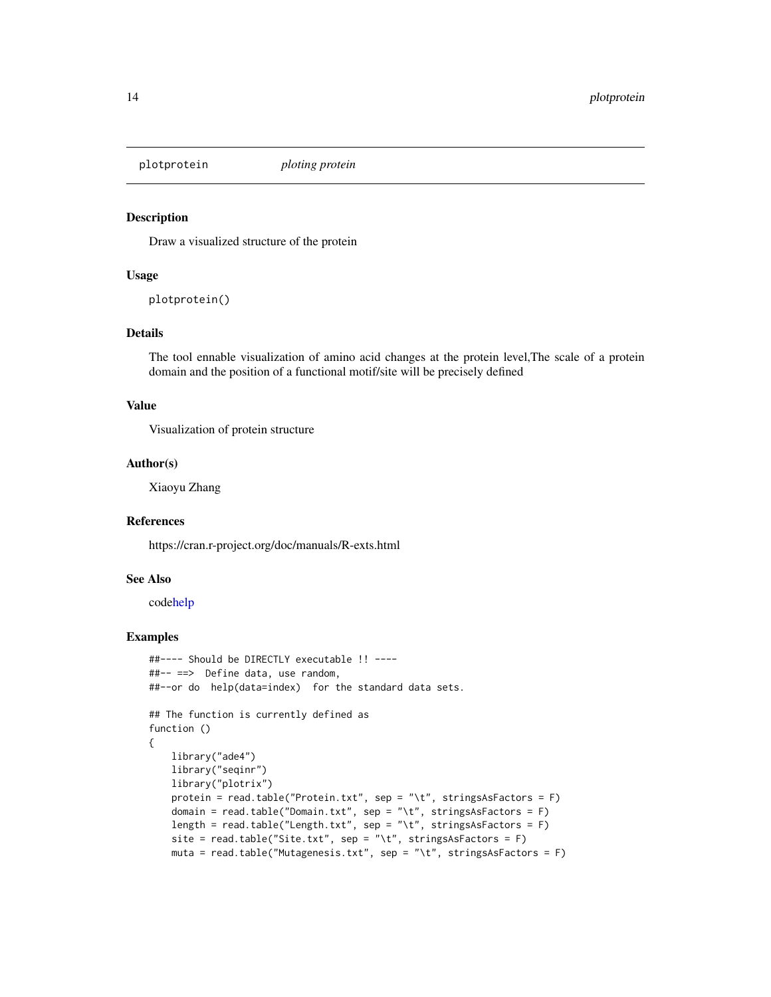<span id="page-13-0"></span>

#### Description

Draw a visualized structure of the protein

## Usage

plotprotein()

## Details

The tool ennable visualization of amino acid changes at the protein level,The scale of a protein domain and the position of a functional motif/site will be precisely defined

#### Value

Visualization of protein structure

## Author(s)

Xiaoyu Zhang

## References

https://cran.r-project.org/doc/manuals/R-exts.html

## See Also

cod[ehelp](#page-0-0)

```
##---- Should be DIRECTLY executable !! ----
##-- ==> Define data, use random,
##--or do help(data=index) for the standard data sets.
## The function is currently defined as
function ()
{
   library("ade4")
   library("seqinr")
   library("plotrix")
   protein = read.table("Protein.txt", sep = "\t", stringsAsFactors = F)
   domain = read.table("Domain.txt", sep = "\t", stringsAsFactors = F)
   length = read.table("Length.txt", sep = "\t", stringsAsFactors = F)
   site = read.table("Site.txt", sep = "\t", stringsAsFactors = F)
   muta = read.table("Mutagenesis.txt", sep = "\t", stringsAsFactors = F)
```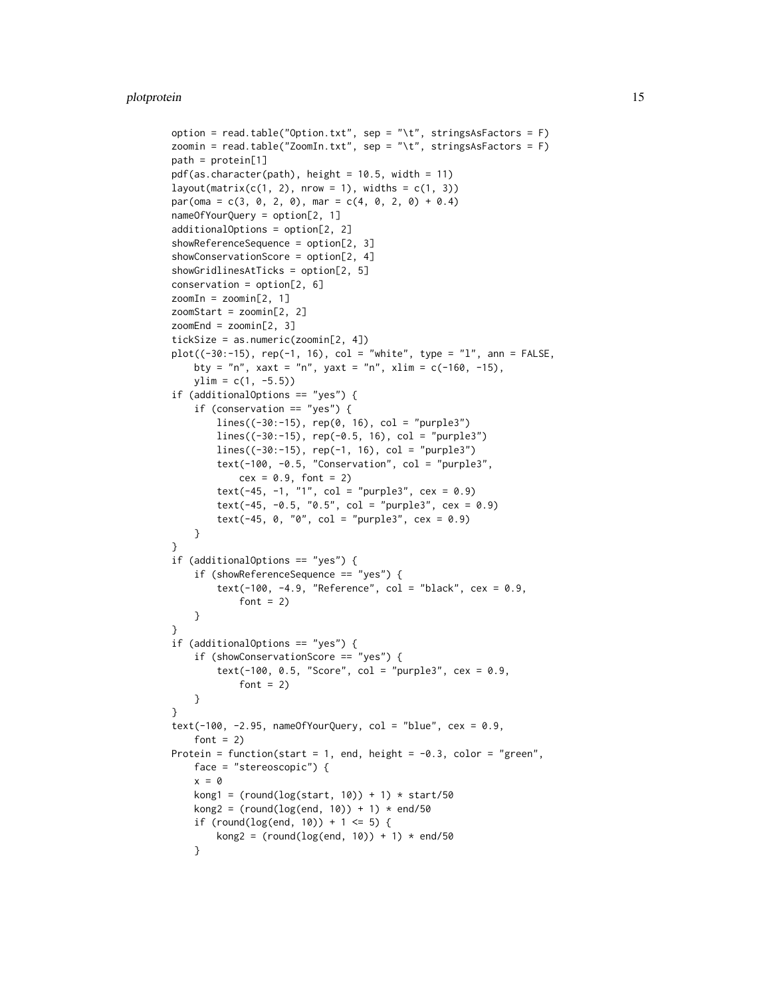```
option = read.table("Option.txt", sep = "\t", stringsAsFactors = F)
zoomin = read.table("ZoomIn.txt", sep = "\t", stringsAsFactors = F)
path = protein[1]
pdf(as. character(path), height = 10.5, width = 11)layout(matrix(c(1, 2), nrow = 1), widths = c(1, 3))
par(oma = c(3, 0, 2, 0), mar = c(4, 0, 2, 0) + 0.4)nameOfYourQuery = option[2, 1]
additionalOptions = option[2, 2]
showReferenceSequence = option[2, 3]
showConservationScore = option[2, 4]
showGridlinesAtTicks = option[2, 5]
conservation = option[2, 6]zoomIn = zoomin[2, 1]
zoomStart = zoomin[2, 2]
zoomEnd = zoomin[2, 3]
tickSize = as.numeric(zoomin[2, 4])
plot((-30:-15), rep(-1, 16), col = "white", type = "l", ann = FALSE,
    bty = "n", xaxt = "n", yaxt = "n", xlim = c(-160, -15),
    ylim = c(1, -5.5)if (additionalOptions == "yes") {
    if (conservation == "yes") {
        lines((-30:-15), rep(0, 16), col = "purple3")lines((-30:-15), rep(-0.5, 16), col = "purple3")
        lines((-30:-15), rep(-1, 16), col = "purple3")
        text(-100, -0.5, "Conservation", col = "purple3",
            cex = 0.9, font = 2)
        text(-45, -1, "1", col = "purple3", cex = 0.9)text(-45, -0.5, "0.5", col = "purple3", cex = 0.9)
        text(-45, 0, "0", col = "purple3", cex = 0.9)}
}
if (additionalOptions == "yes") {
    if (showReferenceSequence == "yes") {
        text(-100, -4.9, "Reference", col = "black", cex = 0.9,
            font = 2)
    }
\lambdaif (additionalOptions == "yes") {
    if (showConservationScore == "yes") {
        text(-100, 0.5, "Score", col = "purple3", cex = 0.9,
            font = 2)
    }
}
text(-100, -2.95, nameOfYourQuery, col = "blue", cex = 0.9,font = 2)
Protein = function(start = 1, end, height = -0.3, color = "green",
    face = "stereoscopic") {
    x = 0kong1 = (round(log(start, 10)) + 1) * start/50kong2 = (round(logend, 10)) + 1) * end/50if (round(log(end, 10)) + 1 <= 5) {
        kong2 = (round(logend, 10)) + 1) * end/50}
```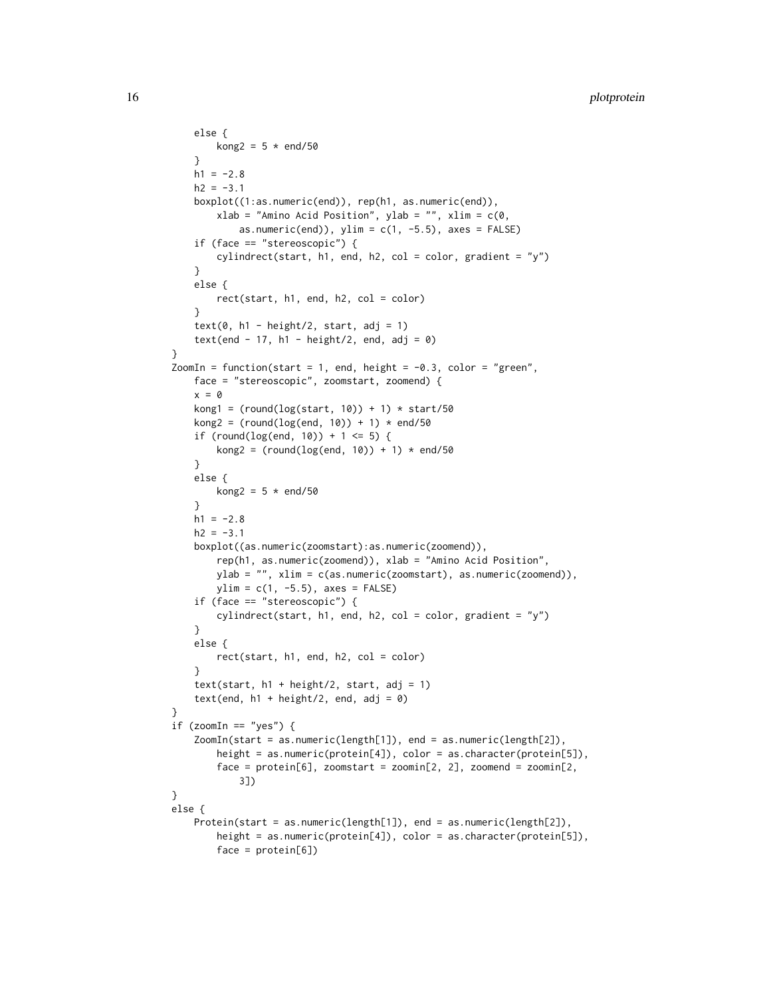```
else {
       kong2 = 5 * end/50}
   h1 = -2.8h2 = -3.1boxplot((1:as.numeric(end)), rep(h1, as.numeric(end)),
       xlab = "Amino Acid Position", ylab = "", xlim = c(0,as.numeric(end)), ylim = c(1, -5.5), axes = FALSE)
   if (face == "stereoscopic") {
       cylindrect(start, h1, end, h2, col = color, gradient = "y")
   }
   else {
       rect(start, h1, end, h2, col = color)
    }
   text(0, h1 - height/2, start, adj = 1)text(end - 17, h1 - height/2, end, adj = \emptyset)
}
ZoomIn = function(start = 1, end, height = -0.3, color = "green",
   face = "stereoscopic", zoomstart, zoomend) {
   x = 0kong1 = (round(log(start, 10)) + 1) * start/50kong2 = (round(logend, 10)) + 1) * end/50if (round(log(end, 10)) + 1 <= 5) {
       kong2 = (round(log(end, 10)) + 1) * end/50}
   else {
       kong2 = 5 * end/50}
   h1 = -2.8h2 = -3.1boxplot((as.numeric(zoomstart):as.numeric(zoomend)),
       rep(h1, as.numeric(zoomend)), xlab = "Amino Acid Position",
       ylab = "", xlim = c(as.numeric(zoomstart), as.numeric(zoomend)),
       ylim = c(1, -5.5), axes = FALSE)if (face == "stereoscopic") {
       cylindrect(start, h1, end, h2, col = color, gradient = "y")
   }
   else {
       rect(start, h1, end, h2, col = color)
    }
   text(start, h1 + height/2, start, adj = 1)
   text(end, h1 + height/2, end, adj = 0)
}
if (zoomIn == "yes") {
   ZoomIn(start = as.numeric(length[1]), end = as.numeric(length[2]),
       height = as.numeric(protein[4]), color = as.character(protein[5]),
       face = protein[6], zoomstart = zoomin[2, 2], zoomend = zoomin[2,3])
}
else {
   Protein(start = as.numeric(length[1]), end = as.numeric(length[2]),
       height = as.numeric(protein[4]), color = as.character(protein[5]),
       face = protein[6])
```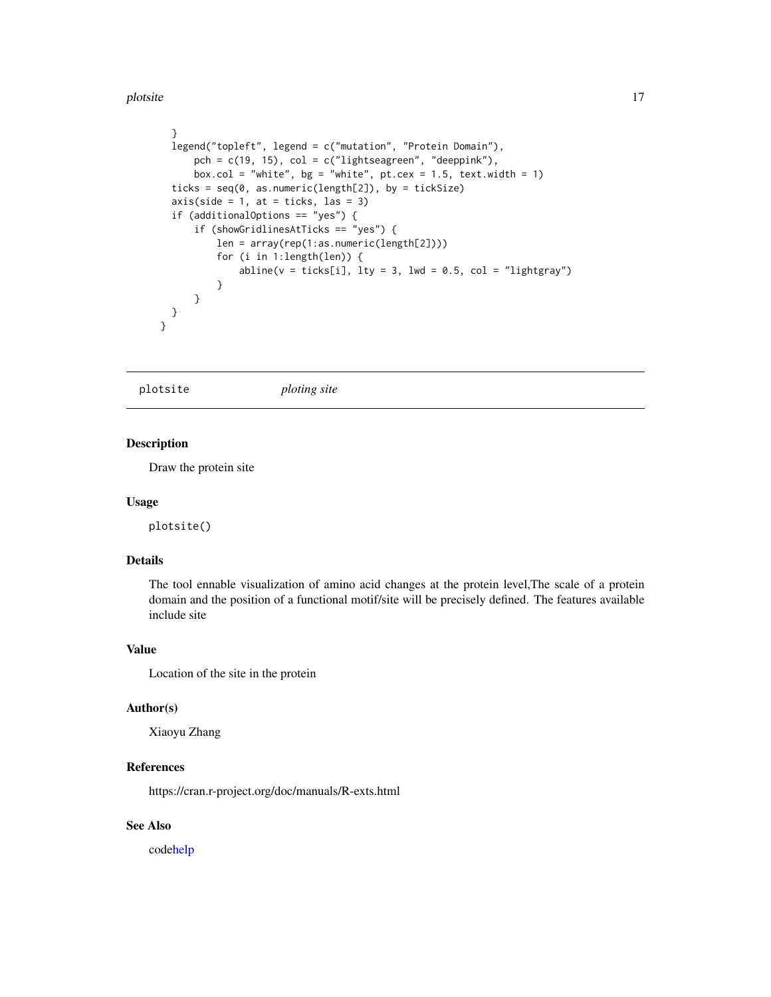#### <span id="page-16-0"></span>plotsite the state of the state of the state of the state of the state of the state of the state of the state of the state of the state of the state of the state of the state of the state of the state of the state of the s

```
}
  legend("topleft", legend = c("mutation", "Protein Domain"),
     pch = c(19, 15), col = c("lightseagreen", "deeppink"),box.col = "white", bg = "white", pt.cex = 1.5, text.width = 1)
  ticks = seq(0, as.numeric(length[2]), by = tickSize)
  axis(side = 1, at = ticks, las = 3)if (additionalOptions == "yes") {
      if (showGridlinesAtTicks == "yes") {
          len = array(rep(1:as.numeric(length[2])))
          for (i in 1:length(len)) {
              abline(v = ticks[i], lty = 3, lwd = 0.5, col = "lightgray")}
      }
 }
}
```
plotsite *ploting site*

## Description

Draw the protein site

#### Usage

plotsite()

## Details

The tool ennable visualization of amino acid changes at the protein level,The scale of a protein domain and the position of a functional motif/site will be precisely defined. The features available include site

## Value

Location of the site in the protein

#### Author(s)

Xiaoyu Zhang

## References

https://cran.r-project.org/doc/manuals/R-exts.html

## See Also

cod[ehelp](#page-0-0)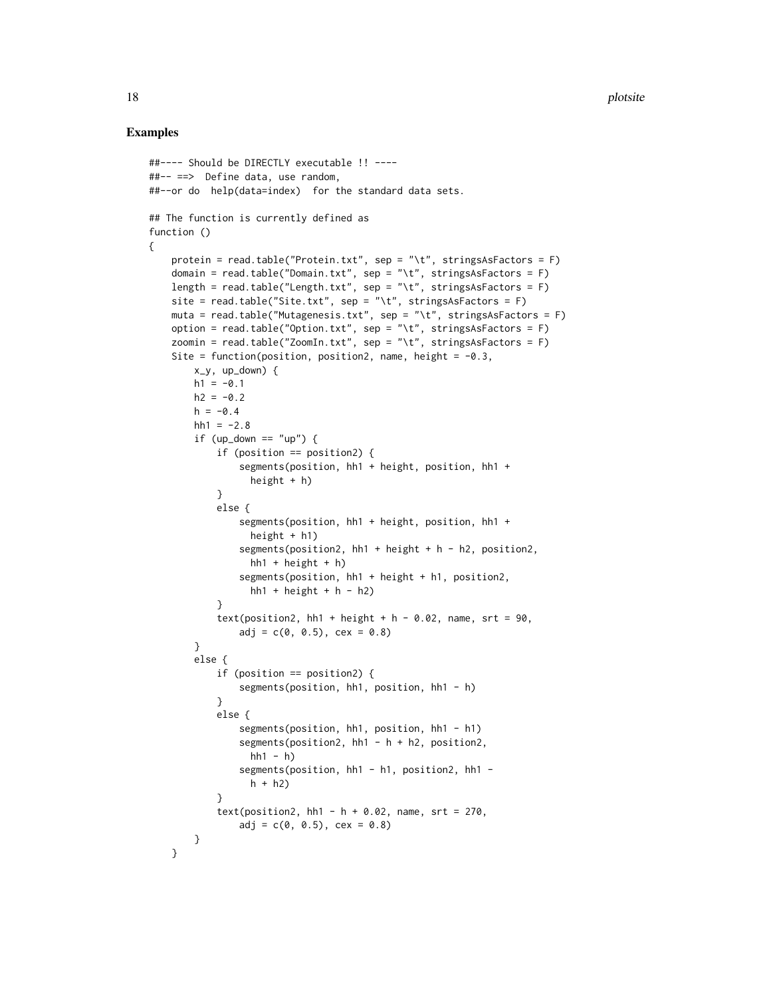```
##---- Should be DIRECTLY executable !! ----
##-- ==> Define data, use random,
##--or do help(data=index) for the standard data sets.
## The function is currently defined as
function ()
{
   protein = read.table("Protein.txt", sep = "\t", stringsAsFactors = F)
   domain = read.table("Domain.txt", sep = "\t", stringsAsFactors = F)
   length = read.table("Length.txt", sep = "\t", stringsAsFactors = F)
   site = read.table("Site.txt", sep = "\t", stringsAsFactors = F)
   muta = read.table("Mutagenesis.txt", sep = "\t", stringsAsFactors = F)
   option = read.table("Option.txt", sep = "\t", stringsAsFactors = F)
   zoomin = read.table("ZoomIn.txt", sep = "\t", stringsAsFactors = F)
   Site = function(position, position2, name, height = -0.3,
       x_y, up_down) {
       h1 = -0.1h2 = -0.2h = -0.4hh1 = -2.8if (up_down == "up") {
            if (position == position2) {
                segments(position, hh1 + height, position, hh1 +
                  height + h)
            }
            else {
                segments(position, hh1 + height, position, hh1 +
                  height + h1)
                segments(position2, hh1 + height + h - h2, position2,
                  hh1 + height + h)segments(position, hh1 + height + h1, position2,
                  hh1 + \text{height} + \text{h} - \text{h}}
            text(position2, hh1 + height + h - 0.02, name, srt = 90,
                adj = c(0, 0.5), cex = 0.8)
        }
        else {
            if (position == position2) {
                segments(position, hh1, position, hh1 - h)
            }
            else {
                segments(position, hh1, position, hh1 - h1)
                segments(position2, hh1 - h + h2, position2,
                  hh1 - h)segments(position, hh1 - h1, position2, hh1 -
                  h + h2)}
            text(position2, hh1 - h + 0.02, name, str = 270,
                adj = c(0, 0.5), cex = 0.8)}
   }
```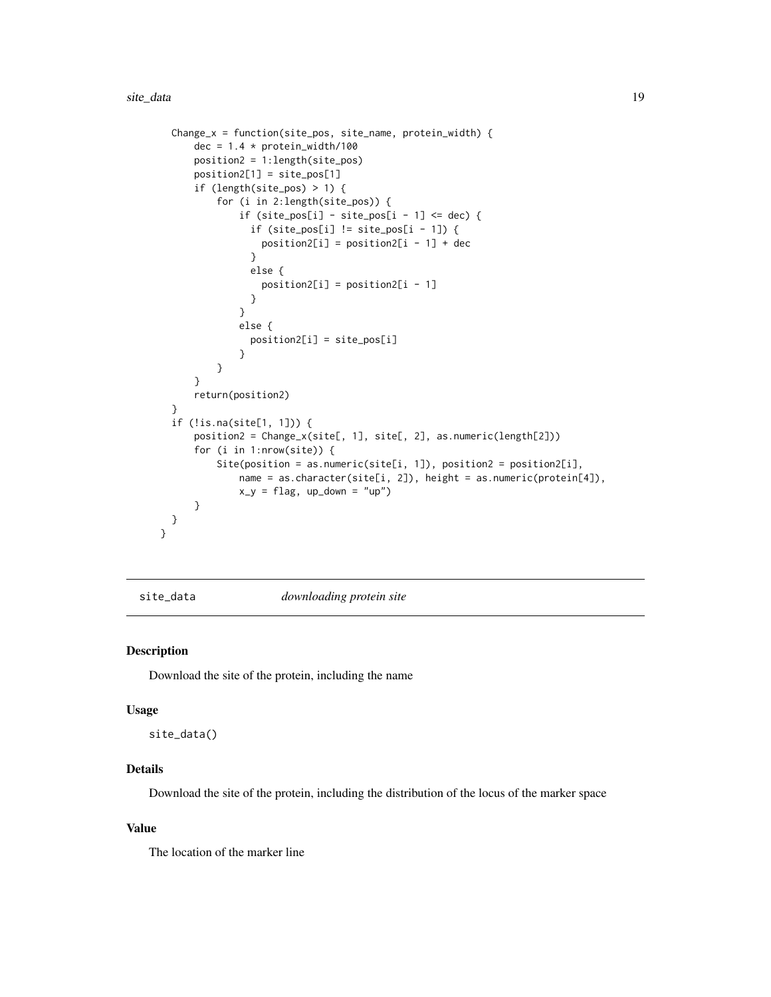```
Change_x = function(site_pos, site_name, protein_width) {
      dec = 1.4 * protein\_width/100position2 = 1:length(site_pos)
     position2[1] = site_pos[1]
      if (length(site_pos) > 1) {
          for (i in 2:length(site_pos)) {
              if (site_pos[i] - site_pos[i - 1] <= dec) {
                if (site_pos[i] != site_pos[i - 1]) {
                  position2[i] = position2[i - 1] + dec}
                else {
                  position2[i] = position2[i - 1]
                }
              }
              else {
                position2[i] = site_pos[i]
              }
          }
      }
      return(position2)
  }
  if (!is.na(site[1, 1])) {
      position2 = Change_x(site[, 1], site[, 2], as.numeric(length[2]))
      for (i in 1:nrow(site)) {
          Site(position = as.numeric(site[i, 1]), position2 = position2[i],
              name = as.character(site[i, 2]), height = as.numeric(protein[4]),
              x_y = flag, up_down = "up")
      }
 }
}
```
site\_data *downloading protein site*

#### Description

Download the site of the protein, including the name

#### Usage

site\_data()

## Details

Download the site of the protein, including the distribution of the locus of the marker space

#### Value

The location of the marker line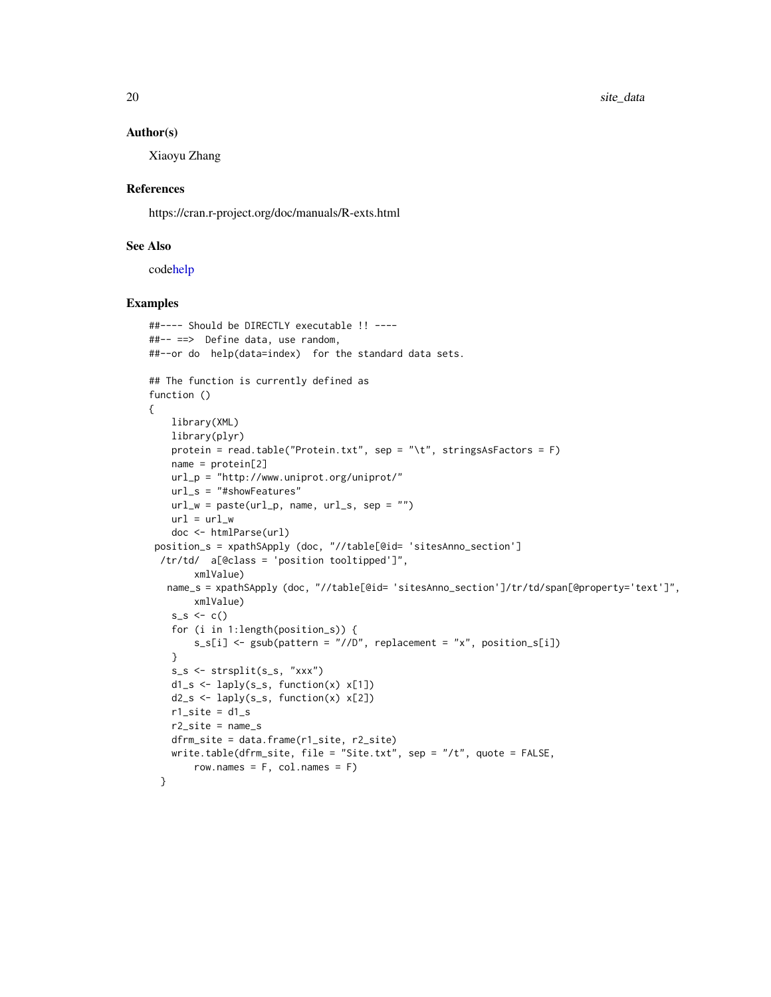#### <span id="page-19-0"></span>Author(s)

Xiaoyu Zhang

#### References

https://cran.r-project.org/doc/manuals/R-exts.html

## See Also

cod[ehelp](#page-0-0)

```
##---- Should be DIRECTLY executable !! ----
##-- ==> Define data, use random,
##--or do help(data=index) for the standard data sets.
## The function is currently defined as
function ()
{
   library(XML)
   library(plyr)
   protein = read.table("Protein.txt", sep = "\t", stringsAsFactors = F)
   name = protein[2]
   url_p = "http://www.uniprot.org/uniprot/"
   url_s = "#showFeatures"
   url_w = paste(url_p, name, url_s, sep = "")url = url_wdoc <- htmlParse(url)
 position_s = xpathSApply (doc, "//table[@id= 'sitesAnno_section']
 /tr/td/ a[@class = 'position tooltipped']",
       xmlValue)
   name_s = xpathSApply (doc, "//table[@id= 'sitesAnno_section']/tr/td/span[@property='text']",
       xmlValue)
    s_s < -c()for (i in 1:length(position_s)) {
       s_s[i] <- gsub(pattern = "//D", replacement = "x", position_s[i])
    }
   s_s <- strsplit(s_s, "xxx")
   d1_s <- laply(s_s, function(x) x[1])
   d2_s <- laply(s_s, function(x) x[2])
   r1_site = d1_s
   r2_site = name_s
   dfrm_site = data.frame(r1_site, r2_site)
   write.table(dfrm_site, file = "Site.txt", sep = "/t", quote = FALSE,
       row.names = F, col.names = F)
 }
```